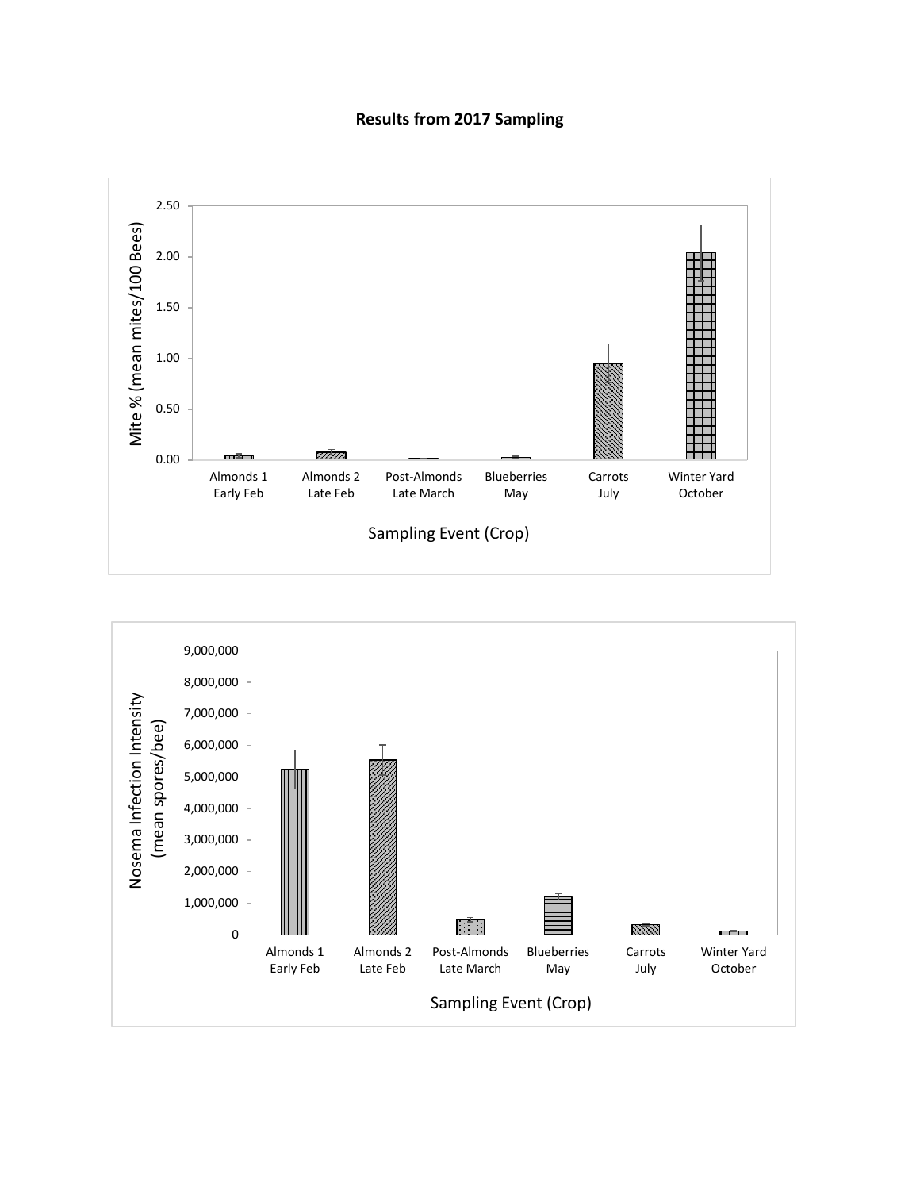## **Results from 2017 Sampling**



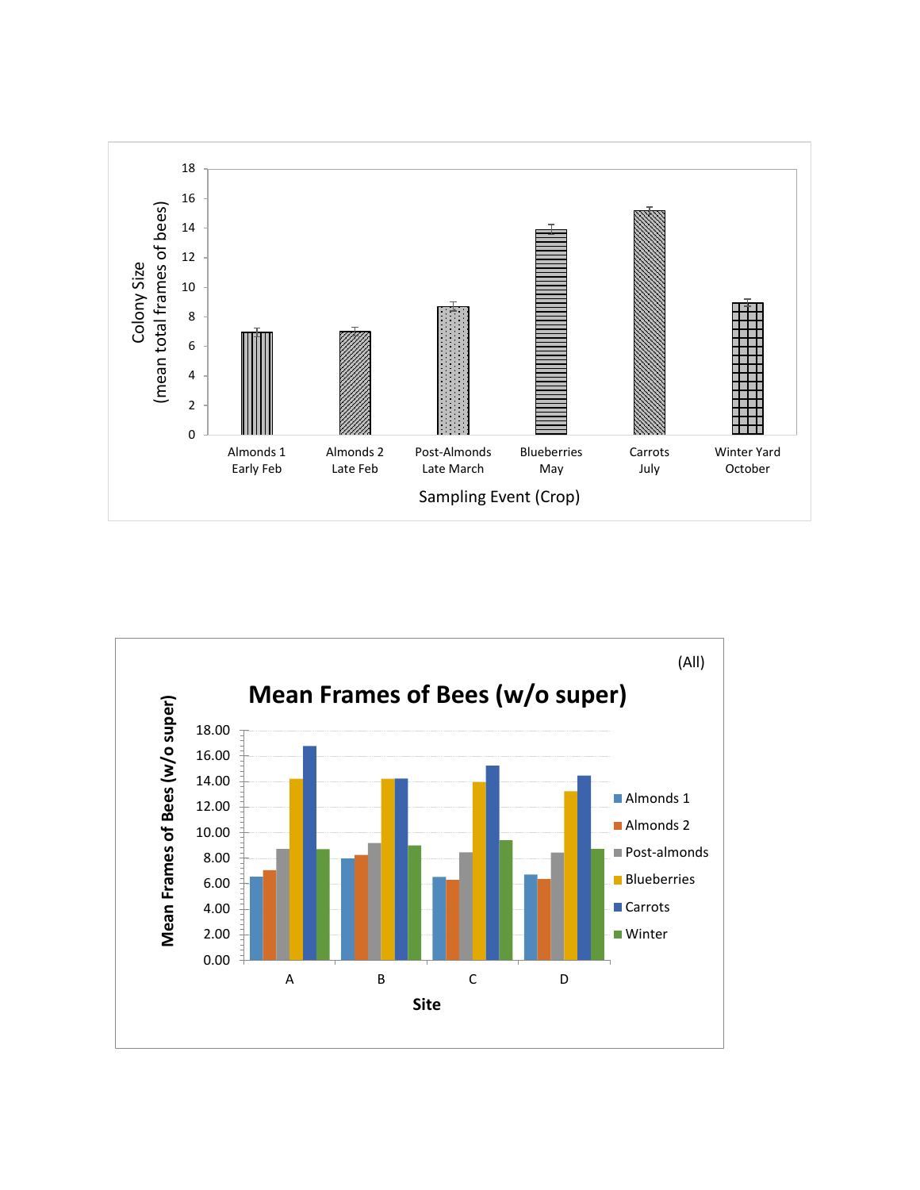

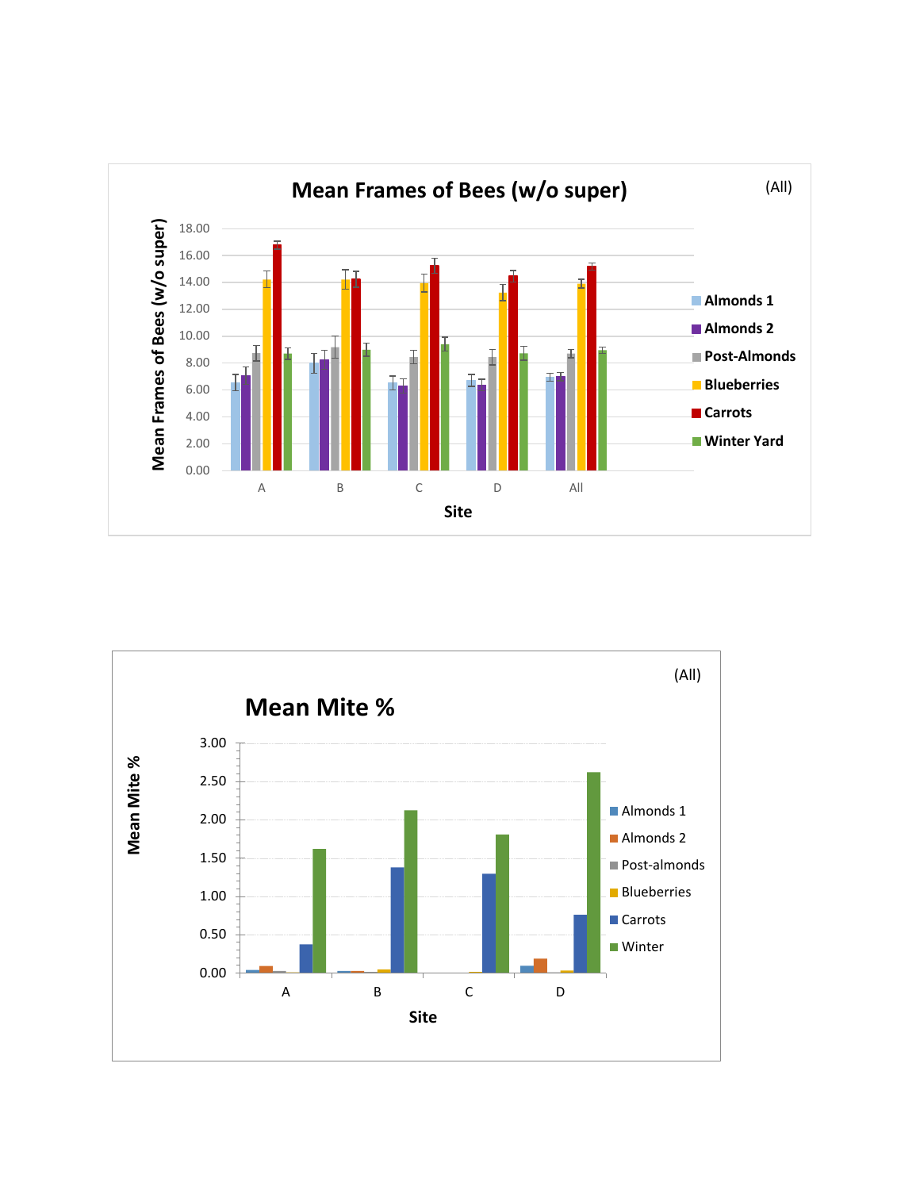

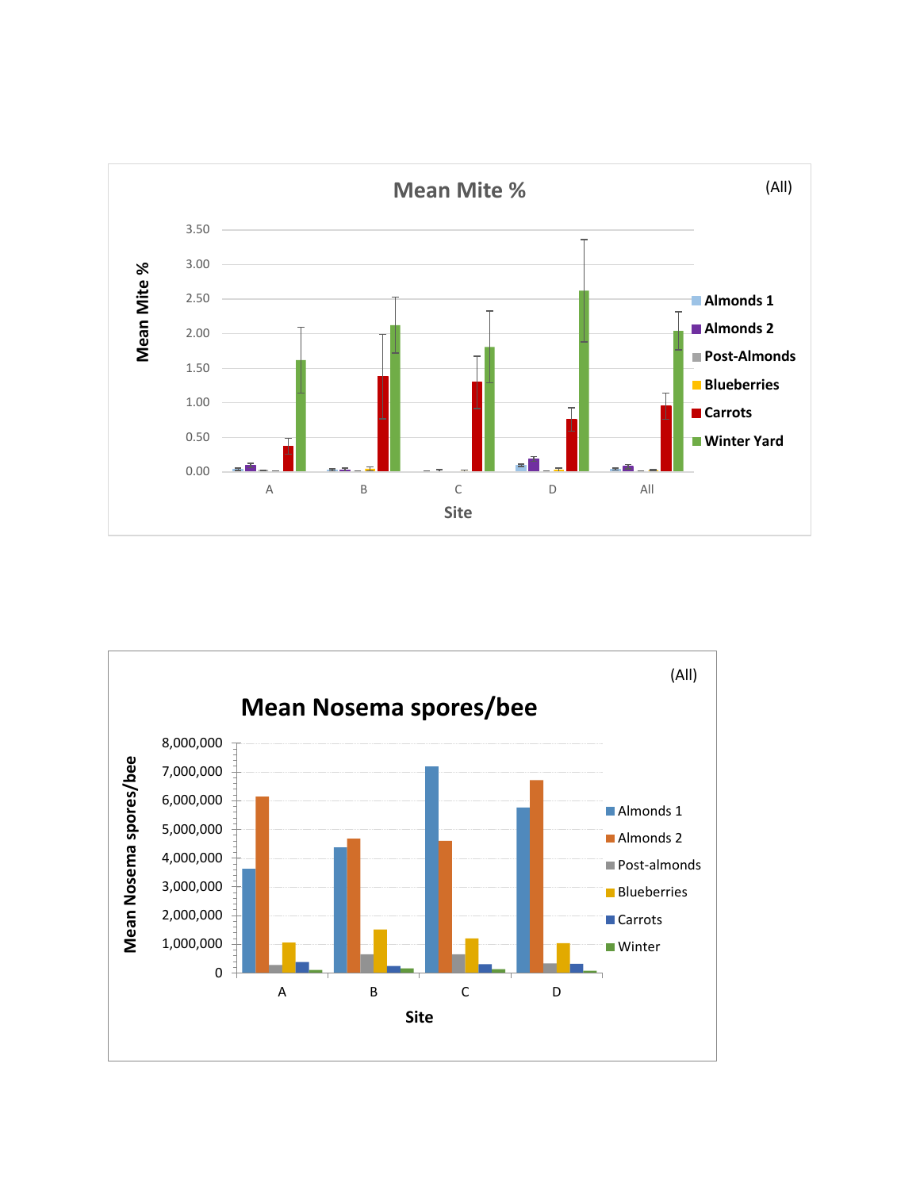